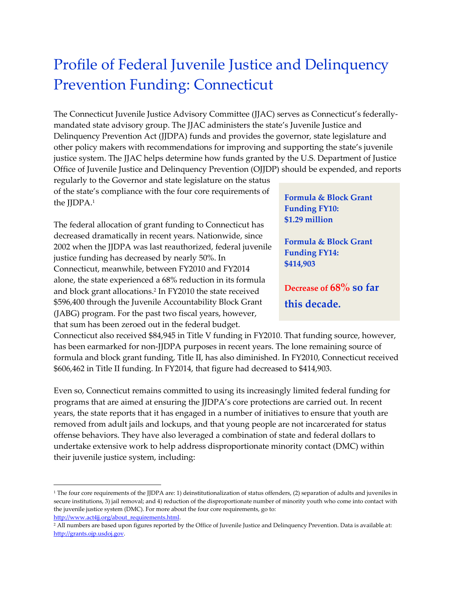## Profile of Federal Juvenile Justice and Delinquency Prevention Funding: Connecticut

The Connecticut Juvenile Justice Advisory Committee (JJAC) serves as Connecticut's federallymandated state advisory group. The JJAC administers the state's Juvenile Justice and Delinquency Prevention Act (JJDPA) funds and provides the governor, state legislature and other policy makers with recommendations for improving and supporting the state's juvenile justice system. The JJAC helps determine how funds granted by the U.S. Department of Justice Office of Juvenile Justice and Delinquency Prevention (OJJDP) should be expended, and reports

regularly to the Governor and state legislature on the status of the state's compliance with the four core requirements of the *JJDPA*.<sup>1</sup>

The federal allocation of grant funding to Connecticut has decreased dramatically in recent years. Nationwide, since 2002 when the JJDPA was last reauthorized, federal juvenile justice funding has decreased by nearly 50%. In Connecticut, meanwhile, between FY2010 and FY2014 alone, the state experienced a 68% reduction in its formula and block grant allocations. 2 In FY2010 the state received \$596,400 through the Juvenile Accountability Block Grant (JABG) program. For the past two fiscal years, however, that sum has been zeroed out in the federal budget.

**Formula & Block Grant Funding FY10: \$1.29 million**

**Formula & Block Grant Funding FY14: \$414,903**

**Decrease of 68% so far this decade.**

Connecticut also received \$84,945 in Title V funding in FY2010. That funding source, however, has been earmarked for non-JJDPA purposes in recent years. The lone remaining source of formula and block grant funding, Title II, has also diminished. In FY2010, Connecticut received \$606,462 in Title II funding. In FY2014, that figure had decreased to \$414,903.

Even so, Connecticut remains committed to using its increasingly limited federal funding for programs that are aimed at ensuring the JJDPA's core protections are carried out. In recent years, the state reports that it has engaged in a number of initiatives to ensure that youth are removed from adult jails and lockups, and that young people are not incarcerated for status offense behaviors. They have also leveraged a combination of state and federal dollars to undertake extensive work to help address disproportionate minority contact (DMC) within their juvenile justice system, including:

```
http://www.act4jj.org/about_requirements.html.
```
 $\overline{\phantom{a}}$ 

<sup>&</sup>lt;sup>1</sup> The four core requirements of the JJDPA are: 1) deinstitutionalization of status offenders, (2) separation of adults and juveniles in secure institutions, 3) jail removal; and 4) reduction of the disproportionate number of minority youth who come into contact with the juvenile justice system (DMC). For more about the four core requirements, go to:

<sup>&</sup>lt;sup>2</sup> All numbers are based upon figures reported by the Office of Juvenile Justice and Delinquency Prevention. Data is available at: [http://grants.ojp.usdoj.gov.](http://grants.ojp.usdoj.gov/)